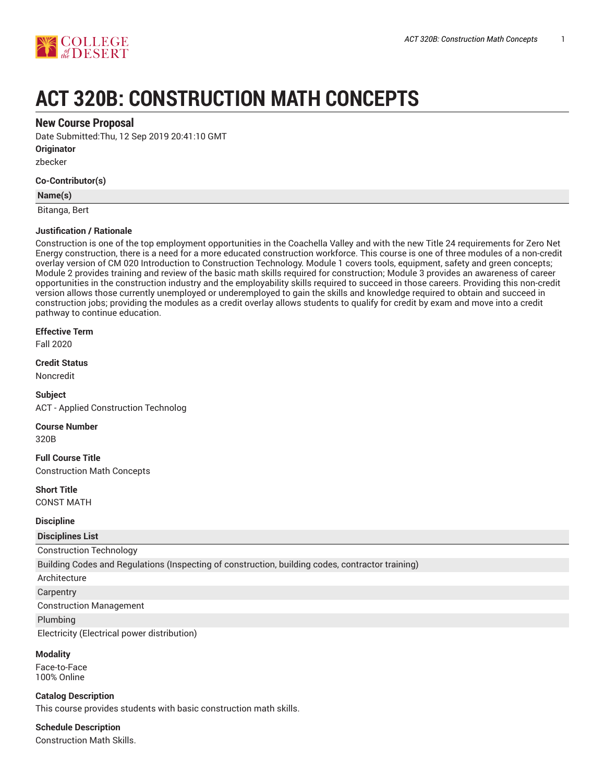

# **ACT 320B: CONSTRUCTION MATH CONCEPTS**

### **New Course Proposal**

Date Submitted:Thu, 12 Sep 2019 20:41:10 GMT

**Originator**

zbecker

### **Co-Contributor(s)**

### **Name(s)**

Bitanga, Bert

### **Justification / Rationale**

Construction is one of the top employment opportunities in the Coachella Valley and with the new Title 24 requirements for Zero Net Energy construction, there is a need for a more educated construction workforce. This course is one of three modules of a non-credit overlay version of CM 020 Introduction to Construction Technology. Module 1 covers tools, equipment, safety and green concepts; Module 2 provides training and review of the basic math skills required for construction; Module 3 provides an awareness of career opportunities in the construction industry and the employability skills required to succeed in those careers. Providing this non-credit version allows those currently unemployed or underemployed to gain the skills and knowledge required to obtain and succeed in construction jobs; providing the modules as a credit overlay allows students to qualify for credit by exam and move into a credit pathway to continue education.

#### **Effective Term**

Fall 2020

**Credit Status**

Noncredit

**Subject** ACT - Applied Construction Technolog

**Course Number**

320B

**Full Course Title** Construction Math Concepts

**Short Title** CONST MATH

#### **Discipline**

**Disciplines List**

### Construction Technology

Building Codes and Regulations (Inspecting of construction, building codes, contractor training)

Architecture

### **Carpentry**

Construction Management

Plumbing

Electricity (Electrical power distribution)

#### **Modality**

Face-to-Face 100% Online

#### **Catalog Description**

This course provides students with basic construction math skills.

### **Schedule Description**

Construction Math Skills.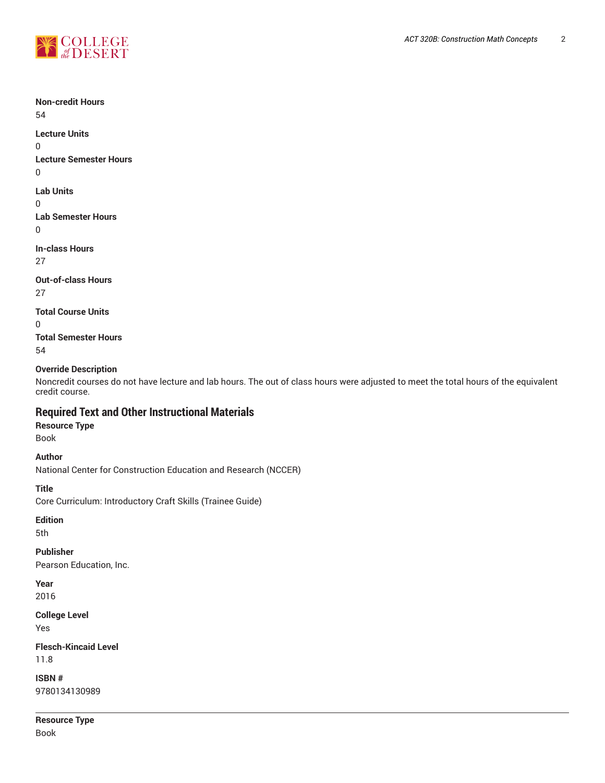



**Non-credit Hours** 54 **Lecture Units** 0 **Lecture Semester Hours** 0 **Lab Units**  $\Omega$ **Lab Semester Hours** 0 **In-class Hours** 27 **Out-of-class Hours** 27 **Total Course Units**  $\Omega$ **Total Semester Hours** 54

### **Override Description**

Noncredit courses do not have lecture and lab hours. The out of class hours were adjusted to meet the total hours of the equivalent credit course.

### **Required Text and Other Instructional Materials**

### **Resource Type**

Book

### **Author**

National Center for Construction Education and Research (NCCER)

#### **Title**

Core Curriculum: Introductory Craft Skills (Trainee Guide)

### **Edition**

5th

### **Publisher**

Pearson Education, Inc.

### **Year**

2016

### **College Level**

Yes

### **Flesch-Kincaid Level** 11.8

**ISBN #** 9780134130989

### **Resource Type** Book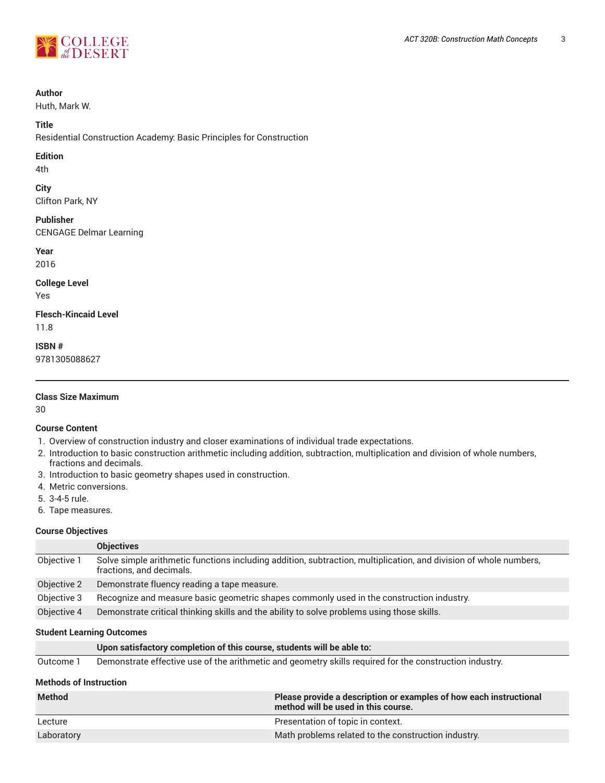

### **Author**

Huth, Mark W.

### **Title**

Residential Construction Academy: Basic Principles for Construction

### **Edition**

4th

### **City**

Clifton Park, NY

### **Publisher**

CENGAGE Delmar Learning

**Year**

2016

### **College Level**

Yes

## **Flesch-Kincaid Level**

11.8

**ISBN #** 9781305088627

### **Class Size Maximum**

30

### **Course Content**

- 1. Overview of construction industry and closer examinations of individual trade expectations.
- 2. Introduction to basic construction arithmetic including addition, subtraction, multiplication and division of whole numbers, fractions and decimals.
- 3. Introduction to basic geometry shapes used in construction.
- 4. Metric conversions.
- 5. 3-4-5 rule.
- 6. Tape measures.

### **Course Objectives**

|             | <b>Objectives</b>                                                                                                                             |
|-------------|-----------------------------------------------------------------------------------------------------------------------------------------------|
| Objective 1 | Solve simple arithmetic functions including addition, subtraction, multiplication, and division of whole numbers,<br>fractions, and decimals. |
| Objective 2 | Demonstrate fluency reading a tape measure.                                                                                                   |
| Objective 3 | Recognize and measure basic geometric shapes commonly used in the construction industry.                                                      |
| Objective 4 | Demonstrate critical thinking skills and the ability to solve problems using those skills.                                                    |

### **Student Learning Outcomes**

Outcome 1 Demonstrate effective use of the arithmetic and geometry skills required for the construction industry.

### **Methods of Instruction**

| <b>Method</b> | Please provide a description or examples of how each instructional<br>method will be used in this course. |
|---------------|-----------------------------------------------------------------------------------------------------------|
| Lecture       | Presentation of topic in context.                                                                         |
| Laboratory    | Math problems related to the construction industry.                                                       |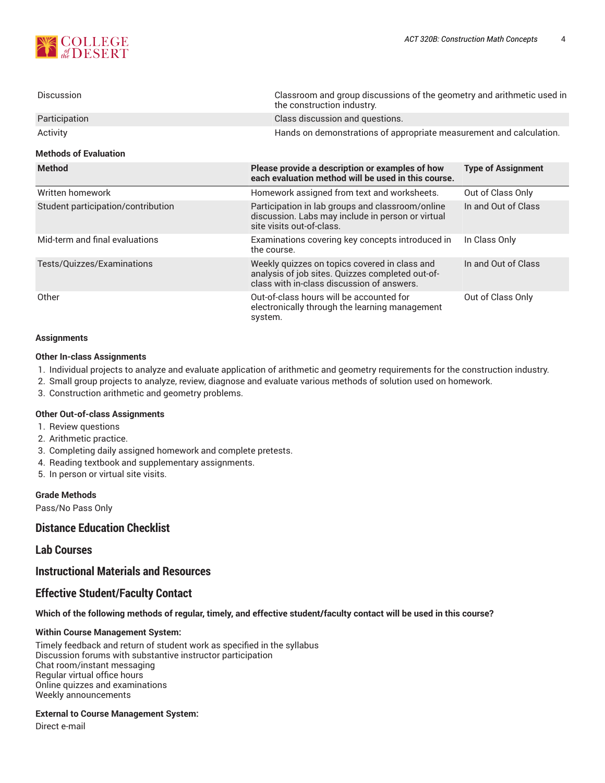

| <b>Discussion</b>                        | Classroom and group discussions of the geometry and arithmetic used in<br>the construction industry.   |                           |
|------------------------------------------|--------------------------------------------------------------------------------------------------------|---------------------------|
| Participation                            | Class discussion and questions.                                                                        |                           |
| Activity<br><b>Methods of Evaluation</b> | Hands on demonstrations of appropriate measurement and calculation.                                    |                           |
|                                          |                                                                                                        |                           |
| <b>Method</b>                            | Please provide a description or examples of how<br>each evaluation method will be used in this course. | <b>Type of Assignment</b> |

|                                    | each evaluation method will be used in this course.                                                                                             |                     |
|------------------------------------|-------------------------------------------------------------------------------------------------------------------------------------------------|---------------------|
| Written homework                   | Homework assigned from text and worksheets.                                                                                                     | Out of Class Only   |
| Student participation/contribution | Participation in lab groups and classroom/online<br>discussion. Labs may include in person or virtual<br>site visits out-of-class.              | In and Out of Class |
| Mid-term and final evaluations     | Examinations covering key concepts introduced in<br>the course.                                                                                 | In Class Only       |
| Tests/Quizzes/Examinations         | Weekly quizzes on topics covered in class and<br>analysis of job sites. Quizzes completed out-of-<br>class with in-class discussion of answers. | In and Out of Class |
| Other                              | Out-of-class hours will be accounted for<br>electronically through the learning management<br>system.                                           | Out of Class Only   |

#### **Assignments**

#### **Other In-class Assignments**

- 1. Individual projects to analyze and evaluate application of arithmetic and geometry requirements for the construction industry.
- 2. Small group projects to analyze, review, diagnose and evaluate various methods of solution used on homework.
- 3. Construction arithmetic and geometry problems.

#### **Other Out-of-class Assignments**

- 1. Review questions
- 2. Arithmetic practice.
- 3. Completing daily assigned homework and complete pretests.
- 4. Reading textbook and supplementary assignments.
- 5. In person or virtual site visits.

#### **Grade Methods**

Pass/No Pass Only

### **Distance Education Checklist**

### **Lab Courses**

### **Instructional Materials and Resources**

### **Effective Student/Faculty Contact**

### Which of the following methods of regular, timely, and effective student/faculty contact will be used in this course?

#### **Within Course Management System:**

Timely feedback and return of student work as specified in the syllabus Discussion forums with substantive instructor participation Chat room/instant messaging Regular virtual office hours Online quizzes and examinations Weekly announcements

#### **External to Course Management System:**

Direct e-mail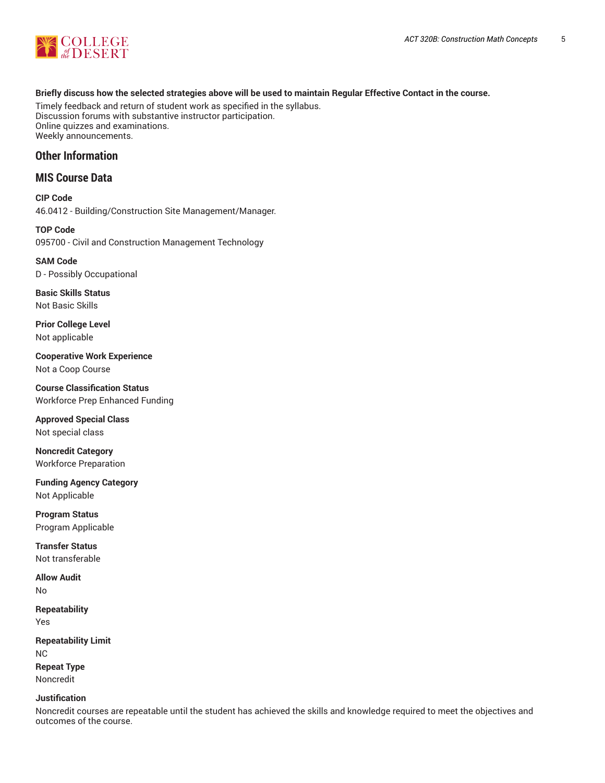

### Briefly discuss how the selected strategies above will be used to maintain Regular Effective Contact in the course.

Timely feedback and return of student work as specified in the syllabus. Discussion forums with substantive instructor participation. Online quizzes and examinations. Weekly announcements.

### **Other Information**

### **MIS Course Data**

**CIP Code** 46.0412 - Building/Construction Site Management/Manager.

**TOP Code** 095700 - Civil and Construction Management Technology

**SAM Code** D - Possibly Occupational

**Basic Skills Status** Not Basic Skills

**Prior College Level** Not applicable

**Cooperative Work Experience** Not a Coop Course

**Course Classification Status** Workforce Prep Enhanced Funding

**Approved Special Class** Not special class

**Noncredit Category** Workforce Preparation

**Funding Agency Category** Not Applicable

**Program Status** Program Applicable

**Transfer Status** Not transferable

**Allow Audit**

No

**Repeatability** Yes

**Repeatability Limit** NC **Repeat Type** Noncredit

### **Justification**

Noncredit courses are repeatable until the student has achieved the skills and knowledge required to meet the objectives and outcomes of the course.